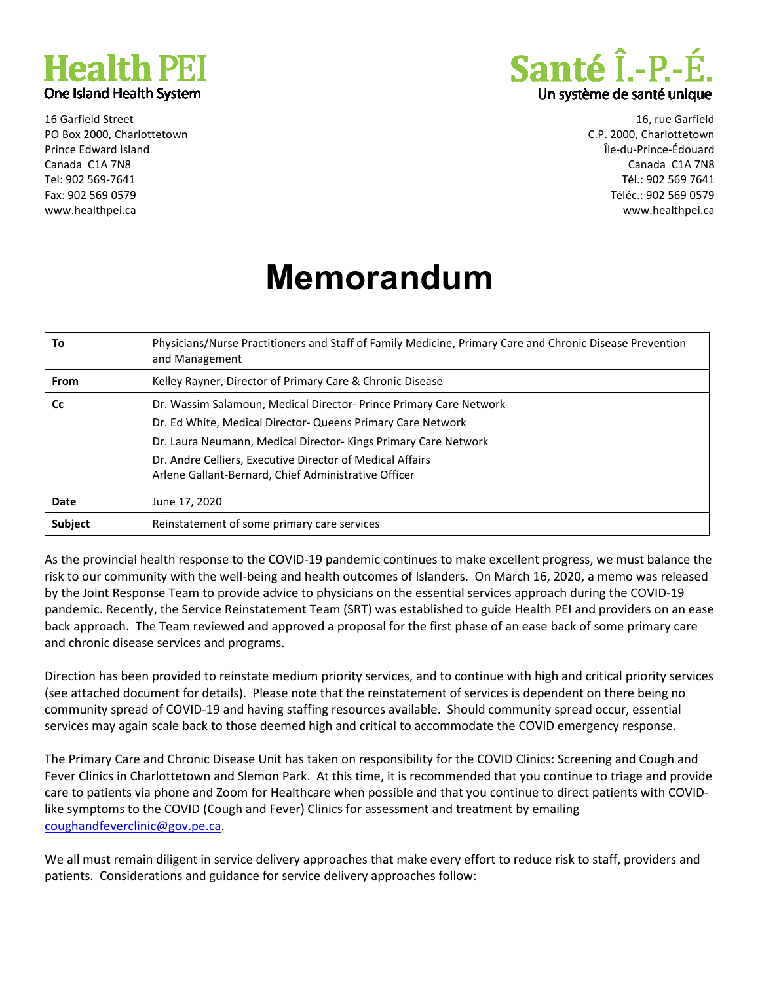

16 Garfield Street PO Box 2000, Charlottetown Prince Edward Island Canada C1A 7N8 Tel: 902 569-7641 Fax: 902 569 0579 www.healthpei.ca



16, rue Garfield C.P. 2000, Charlottetown Île-du-Prince-Édouard Canada C1A 7N8 Tél.: 902 569 7641 Téléc.: 902 569 0579 www.healthpei.ca

## **Memorandum**

| To          | Physicians/Nurse Practitioners and Staff of Family Medicine, Primary Care and Chronic Disease Prevention<br>and Management                                                                                                                                                                                              |
|-------------|-------------------------------------------------------------------------------------------------------------------------------------------------------------------------------------------------------------------------------------------------------------------------------------------------------------------------|
| <b>From</b> | Kelley Rayner, Director of Primary Care & Chronic Disease                                                                                                                                                                                                                                                               |
| <b>Cc</b>   | Dr. Wassim Salamoun, Medical Director-Prince Primary Care Network<br>Dr. Ed White, Medical Director- Queens Primary Care Network<br>Dr. Laura Neumann, Medical Director-Kings Primary Care Network<br>Dr. Andre Celliers, Executive Director of Medical Affairs<br>Arlene Gallant-Bernard, Chief Administrative Officer |
| Date        | June 17, 2020                                                                                                                                                                                                                                                                                                           |
| Subject     | Reinstatement of some primary care services                                                                                                                                                                                                                                                                             |

As the provincial health response to the COVID-19 pandemic continues to make excellent progress, we must balance the risk to our community with the well-being and health outcomes of Islanders. On March 16, 2020, a memo was released by the Joint Response Team to provide advice to physicians on the essential services approach during the COVID-19 pandemic. Recently, the Service Reinstatement Team (SRT) was established to guide Health PEI and providers on an ease back approach. The Team reviewed and approved a proposal for the first phase of an ease back of some primary care and chronic disease services and programs.

Direction has been provided to reinstate medium priority services, and to continue with high and critical priority services (see attached document for details). Please note that the reinstatement of services is dependent on there being no community spread of COVID-19 and having staffing resources available. Should community spread occur, essential services may again scale back to those deemed high and critical to accommodate the COVID emergency response.

The Primary Care and Chronic Disease Unit has taken on responsibility for the COVID Clinics: Screening and Cough and Fever Clinics in Charlottetown and Slemon Park. At this time, it is recommended that you continue to triage and provide care to patients via phone and Zoom for Healthcare when possible and that you continue to direct patients with COVIDlike symptoms to the COVID (Cough and Fever) Clinics for assessment and treatment by emailing coughandfeverclinic@gov.pe.ca.

We all must remain diligent in service delivery approaches that make every effort to reduce risk to staff, providers and patients. Considerations and guidance for service delivery approaches follow: